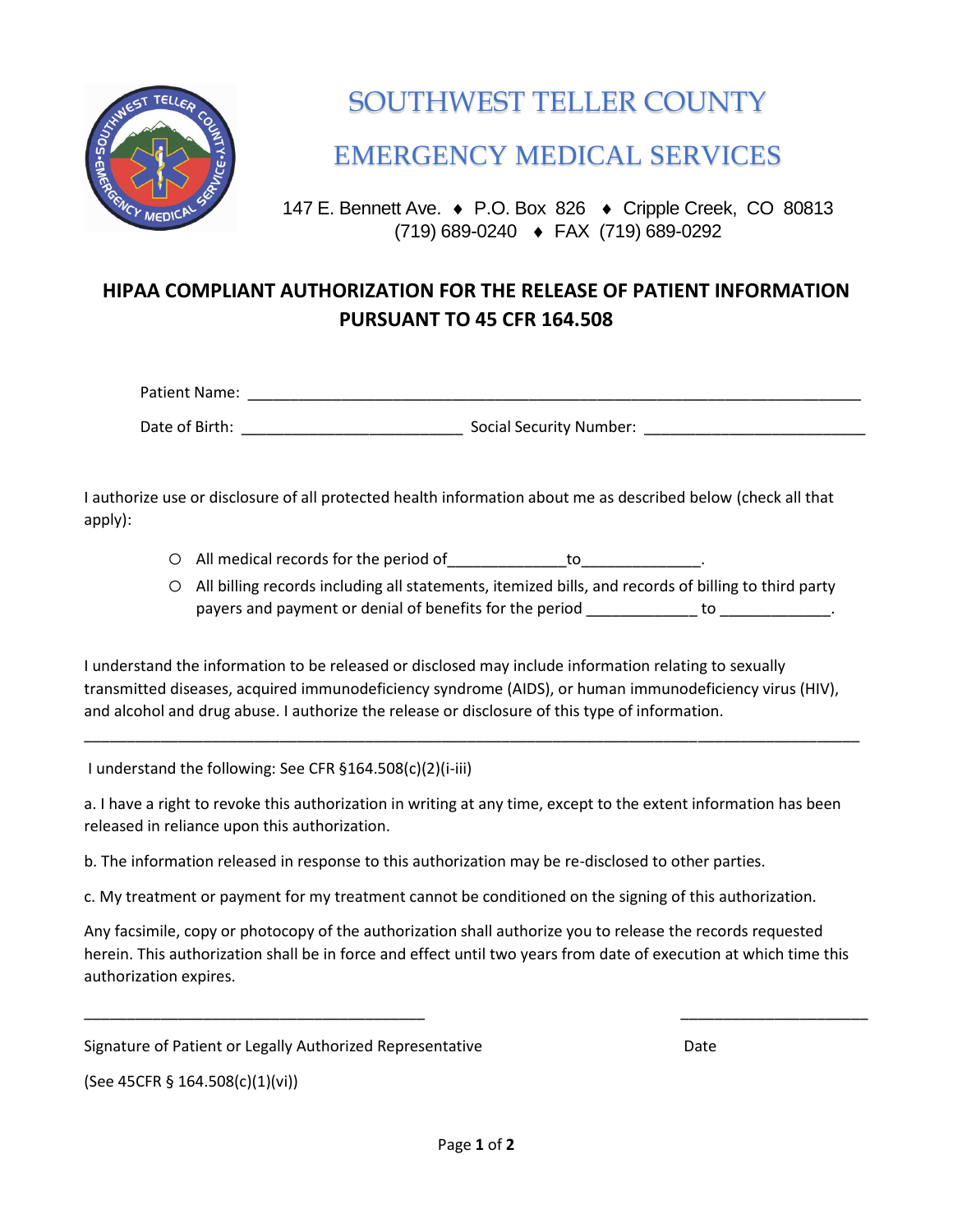

## SOUTHWEST TELLER COUNTY

EMERGENCY MEDICAL SERVICES

147 E. Bennett Ave. ♦ P.O. Box 826 ♦ Cripple Creek, CO 80813 (719) 689-0240 FAX (719) 689-0292

## **HIPAA COMPLIANT AUTHORIZATION FOR THE RELEASE OF PATIENT INFORMATION PURSUANT TO 45 CFR 164.508**

| Patient Name:  |                                |  |
|----------------|--------------------------------|--|
| Date of Birth: | <b>Social Security Number:</b> |  |

I authorize use or disclosure of all protected health information about me as described below (check all that apply):

- O All medical records for the period of the state of the state of the state of the state of the state of the state of the state of the state of the state of the state of the state of the state of the state of the state of
- o All billing records including all statements, itemized bills, and records of billing to third party payers and payment or denial of benefits for the period to to to  $\blacksquare$

I understand the information to be released or disclosed may include information relating to sexually transmitted diseases, acquired immunodeficiency syndrome (AIDS), or human immunodeficiency virus (HIV), and alcohol and drug abuse. I authorize the release or disclosure of this type of information.

\_\_\_\_\_\_\_\_\_\_\_\_\_\_\_\_\_\_\_\_\_\_\_\_\_\_\_\_\_\_\_\_\_\_\_\_\_\_\_\_\_\_\_\_\_\_\_\_\_\_\_\_\_\_\_\_\_\_\_\_\_\_\_\_\_\_\_\_\_\_\_\_\_\_\_\_\_\_\_\_\_\_\_\_\_\_\_\_\_\_\_

I understand the following: See CFR §164.508(c)(2)(i-iii)

a. I have a right to revoke this authorization in writing at any time, except to the extent information has been released in reliance upon this authorization.

b. The information released in response to this authorization may be re-disclosed to other parties.

c. My treatment or payment for my treatment cannot be conditioned on the signing of this authorization.

Any facsimile, copy or photocopy of the authorization shall authorize you to release the records requested herein. This authorization shall be in force and effect until two years from date of execution at which time this authorization expires.

\_\_\_\_\_\_\_\_\_\_\_\_\_\_\_\_\_\_\_\_\_\_\_\_\_\_\_\_\_\_\_\_\_\_\_\_\_\_\_\_ \_\_\_\_\_\_\_\_\_\_\_\_\_\_\_\_\_\_\_\_\_\_

Signature of Patient or Legally Authorized Representative **Date** Date

(See 45CFR § 164.508(c)(1)(vi))